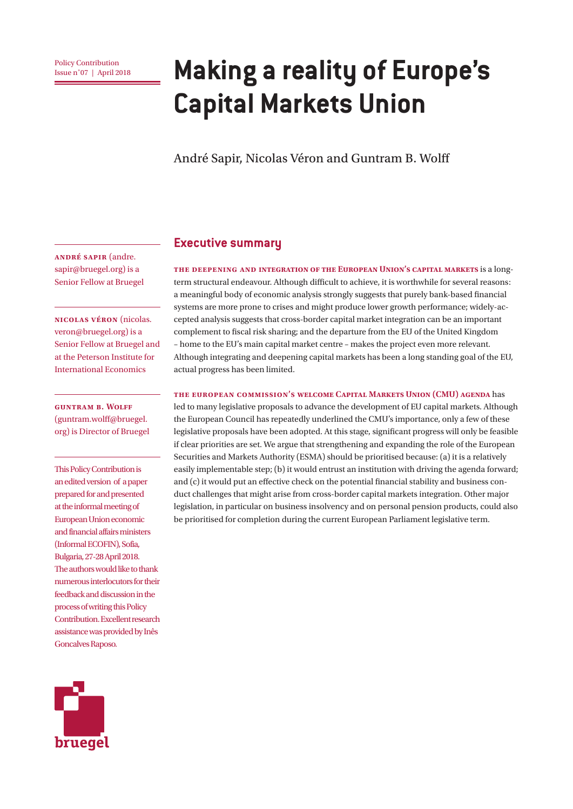# **Policy Contribution**<br>Issue n°07 | April 2018 **Making a reality of Europe's Capital Markets Union**

André Sapir, Nicolas Véron and Guntram B. Wolff

**André Sapir** (andre. sapir@bruegel.org) is a Senior Fellow at Bruegel

**Nicolas Véron** (nicolas. veron@bruegel.org) is a Senior Fellow at Bruegel and at the Peterson Institute for International Economics

**Guntram B. Wolff** (guntram.wolff@bruegel. org) is Director of Bruegel

This Policy Contribution is an edited version of a paper prepared for and presented at the informal meeting of European Union economic and financial affairs ministers (Informal ECOFIN), Sofia, Bulgaria, 27-28 April 2018. The authors would like to thank numerous interlocutors for their feedback and discussion in the process of writing this Policy Contribution. Excellent research assistance was provided by Inês Goncalves Raposo.



#### **Executive summary**

**The deepening and integration of the European Union's capital markets** is a longterm structural endeavour. Although difficult to achieve, it is worthwhile for several reasons: a meaningful body of economic analysis strongly suggests that purely bank-based financial systems are more prone to crises and might produce lower growth performance; widely-accepted analysis suggests that cross-border capital market integration can be an important complement to fiscal risk sharing; and the departure from the EU of the United Kingdom – home to the EU's main capital market centre – makes the project even more relevant. Although integrating and deepening capital markets has been a long standing goal of the EU, actual progress has been limited.

#### **The European Commission's welcome Capital Markets Union (CMU) agenda** has

led to many legislative proposals to advance the development of EU capital markets. Although the European Council has repeatedly underlined the CMU's importance, only a few of these legislative proposals have been adopted. At this stage, significant progress will only be feasible if clear priorities are set. We argue that strengthening and expanding the role of the European Securities and Markets Authority (ESMA) should be prioritised because: (a) it is a relatively easily implementable step; (b) it would entrust an institution with driving the agenda forward; and (c) it would put an effective check on the potential financial stability and business conduct challenges that might arise from cross-border capital markets integration. Other major legislation, in particular on business insolvency and on personal pension products, could also be prioritised for completion during the current European Parliament legislative term.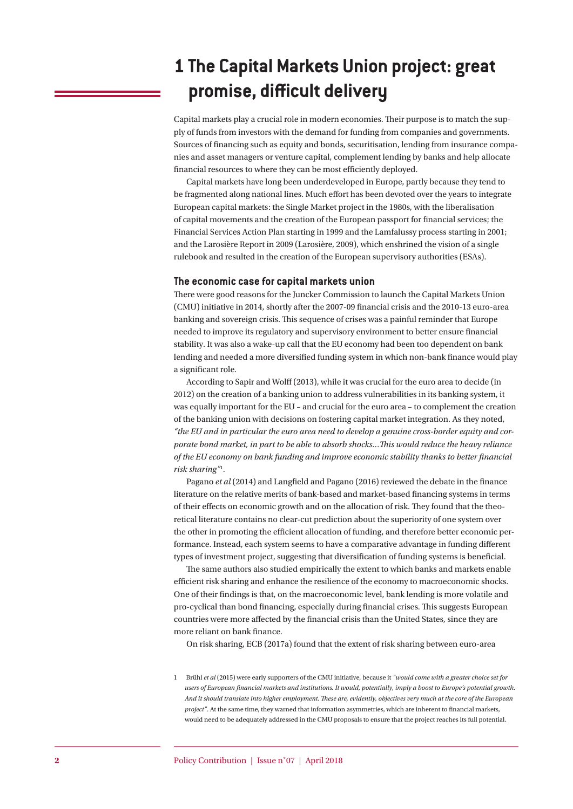# **1 The Capital Markets Union project: great promise, difficult delivery**

Capital markets play a crucial role in modern economies. Their purpose is to match the supply of funds from investors with the demand for funding from companies and governments. Sources of financing such as equity and bonds, securitisation, lending from insurance companies and asset managers or venture capital, complement lending by banks and help allocate financial resources to where they can be most efficiently deployed.

Capital markets have long been underdeveloped in Europe, partly because they tend to be fragmented along national lines. Much effort has been devoted over the years to integrate European capital markets: the Single Market project in the 1980s, with the liberalisation of capital movements and the creation of the European passport for financial services; the Financial Services Action Plan starting in 1999 and the Lamfalussy process starting in 2001; and the Larosière Report in 2009 (Larosière, 2009), which enshrined the vision of a single rulebook and resulted in the creation of the European supervisory authorities (ESAs).

#### **The economic case for capital markets union**

There were good reasons for the Juncker Commission to launch the Capital Markets Union (CMU) initiative in 2014, shortly after the 2007-09 financial crisis and the 2010-13 euro-area banking and sovereign crisis. This sequence of crises was a painful reminder that Europe needed to improve its regulatory and supervisory environment to better ensure financial stability. It was also a wake-up call that the EU economy had been too dependent on bank lending and needed a more diversified funding system in which non-bank finance would play a significant role.

According to Sapir and Wolff (2013), while it was crucial for the euro area to decide (in 2012) on the creation of a banking union to address vulnerabilities in its banking system, it was equally important for the EU – and crucial for the euro area – to complement the creation of the banking union with decisions on fostering capital market integration. As they noted, *"the EU and in particular the euro area need to develop a genuine cross-border equity and corporate bond market, in part to be able to absorb shocks…This would reduce the heavy reliance of the EU economy on bank funding and improve economic stability thanks to better financial risk sharing"*<sup>1</sup> .

Pagano *et al* (2014) and Langfield and Pagano (2016) reviewed the debate in the finance literature on the relative merits of bank-based and market-based financing systems in terms of their effects on economic growth and on the allocation of risk. They found that the theoretical literature contains no clear-cut prediction about the superiority of one system over the other in promoting the efficient allocation of funding, and therefore better economic performance. Instead, each system seems to have a comparative advantage in funding different types of investment project, suggesting that diversification of funding systems is beneficial.

The same authors also studied empirically the extent to which banks and markets enable efficient risk sharing and enhance the resilience of the economy to macroeconomic shocks. One of their findings is that, on the macroeconomic level, bank lending is more volatile and pro-cyclical than bond financing, especially during financial crises. This suggests European countries were more affected by the financial crisis than the United States, since they are more reliant on bank finance.

On risk sharing, ECB (2017a) found that the extent of risk sharing between euro-area

<sup>1</sup> Brühl *et al* (2015) were early supporters of the CMU initiative, because it *"would come with a greater choice set for users of European financial markets and institutions. It would, potentially, imply a boost to Europe's potential growth. And it should translate into higher employment. These are, evidently, objectives very much at the core of the European project"*. At the same time, they warned that information asymmetries, which are inherent to financial markets, would need to be adequately addressed in the CMU proposals to ensure that the project reaches its full potential.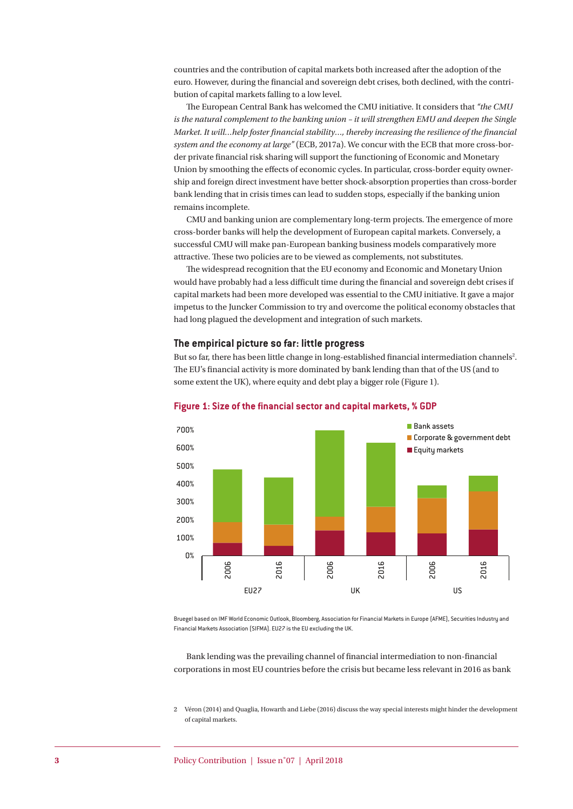countries and the contribution of capital markets both increased after the adoption of the euro. However, during the financial and sovereign debt crises, both declined, with the contribution of capital markets falling to a low level.

The European Central Bank has welcomed the CMU initiative. It considers that *"the CMU is the natural complement to the banking union – it will strengthen EMU and deepen the Single Market. It will…help foster financial stability…, thereby increasing the resilience of the financial system and the economy at large"* (ECB, 2017a). We concur with the ECB that more cross-border private financial risk sharing will support the functioning of Economic and Monetary Union by smoothing the effects of economic cycles. In particular, cross-border equity ownership and foreign direct investment have better shock-absorption properties than cross-border bank lending that in crisis times can lead to sudden stops, especially if the banking union remains incomplete.

CMU and banking union are complementary long-term projects. The emergence of more cross-border banks will help the development of European capital markets. Conversely, a successful CMU will make pan-European banking business models comparatively more attractive. These two policies are to be viewed as complements, not substitutes.

The widespread recognition that the EU economy and Economic and Monetary Union would have probably had a less difficult time during the financial and sovereign debt crises if capital markets had been more developed was essential to the CMU initiative. It gave a major impetus to the Juncker Commission to try and overcome the political economy obstacles that had long plagued the development and integration of such markets.

#### **The empirical picture so far: little progress**

But so far, there has been little change in long-established financial intermediation channels<sup>2</sup>. The EU's financial activity is more dominated by bank lending than that of the US (and to some extent the UK), where equity and debt play a bigger role (Figure 1).



#### **Figure 1: Size of the financial sector and capital markets, % GDP**

Bruegel based on IMF World Economic Outlook, Bloomberg, Association for Financial Markets in Europe (AFME), Securities Industry and Financial Markets Association (SIFMA). EU27 is the EU excluding the UK.

Bank lending was the prevailing channel of financial intermediation to non-financial corporations in most EU countries before the crisis but became less relevant in 2016 as bank

2 Véron (2014) and Quaglia, Howarth and Liebe (2016) discuss the way special interests might hinder the development of capital markets.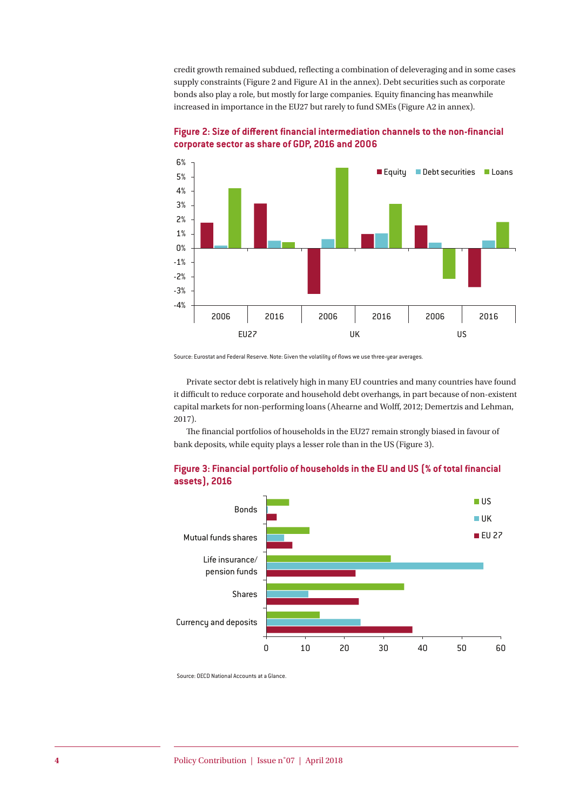credit growth remained subdued, reflecting a combination of deleveraging and in some cases supply constraints (Figure 2 and Figure A1 in the annex). Debt securities such as corporate bonds also play a role, but mostly for large companies. Equity financing has meanwhile increased in importance in the EU27 but rarely to fund SMEs (Figure A2 in annex).



**Figure 2: Size of different financial intermediation channels to the non-financial corporate sector as share of GDP, 2016 and 2006**

Source: Eurostat and Federal Reserve. Note: Given the volatility of flows we use three-year averages.

Private sector debt is relatively high in many EU countries and many countries have found it difficult to reduce corporate and household debt overhangs, in part because of non-existent capital markets for non-performing loans (Ahearne and Wolff, 2012; Demertzis and Lehman, 2017).

The financial portfolios of households in the EU27 remain strongly biased in favour of bank deposits, while equity plays a lesser role than in the US (Figure 3).





Source: OECD National Accounts at a Glance.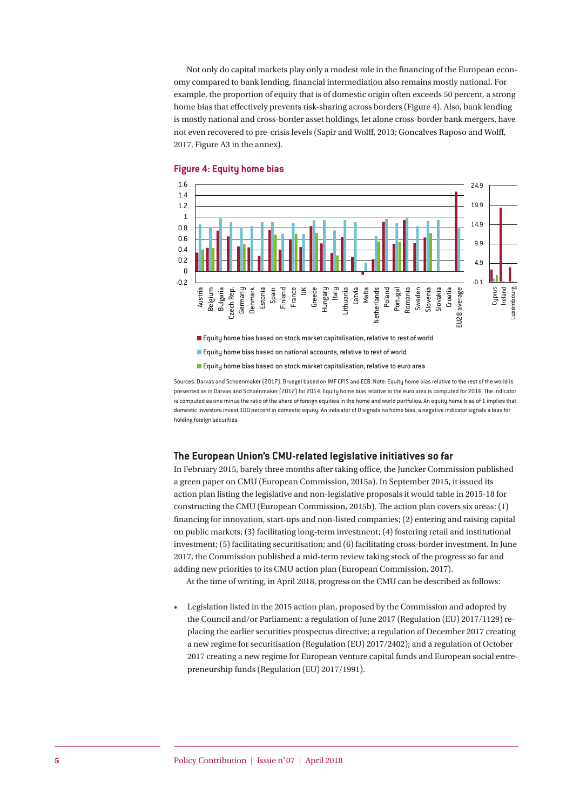Not only do capital markets play only a modest role in the financing of the European economy compared to bank lending, financial intermediation also remains mostly national. For example, the proportion of equity that is of domestic origin often exceeds 50 percent, a strong home bias that effectively prevents risk-sharing across borders (Figure 4). Also, bank lending is mostly national and cross-border asset holdings, let alone cross-border bank mergers, have not even recovered to pre-crisis levels (Sapir and Wolff, 2013; Goncalves Raposo and Wolff, 2017, Figure A3 in the annex).



#### **Figure 4: Equity home bias**

Equity home bias based on national accounts, relative to rest of world

**Equity home bias based on stock market capitalisation, relative to euro area** 

Sources: Darvas and Schoenmaker (2017), Bruegel based on IMF CPIS and ECB. Note: Equity home bias relative to the rest of the world is presented as in Darvas and Schoenmaker (2017) for 2014. Equity home bias relative to the euro area is computed for 2016. The indicator is computed as one minus the ratio of the share of foreign equities in the home and world portfolios. An equity home bias of 1 implies that domestic investors invest 100 percent in domestic equity. An indicator of 0 signals no home bias, a negative indicator signals a bias for holding foreign securities.

#### **The European Union's CMU-related legislative initiatives so far**

In February 2015, barely three months after taking office, the Juncker Commission published a green paper on CMU (European Commission, 2015a). In September 2015, it issued its action plan listing the legislative and non-legislative proposals it would table in 2015-18 for constructing the CMU (European Commission, 2015b). The action plan covers six areas: (1) financing for innovation, start-ups and non-listed companies; (2) entering and raising capital on public markets; (3) facilitating long-term investment; (4) fostering retail and institutional investment; (5) facilitating securitisation; and (6) facilitating cross-border investment. In June 2017, the Commission published a mid-term review taking stock of the progress so far and adding new priorities to its CMU action plan (European Commission, 2017).

At the time of writing, in April 2018, progress on the CMU can be described as follows:

• Legislation listed in the 2015 action plan, proposed by the Commission and adopted by the Council and/or Parliament: a regulation of June 2017 (Regulation (EU) 2017/1129) replacing the earlier securities prospectus directive; a regulation of December 2017 creating a new regime for securitisation (Regulation (EU) 2017/2402); and a regulation of October 2017 creating a new regime for European venture capital funds and European social entrepreneurship funds (Regulation (EU) 2017/1991).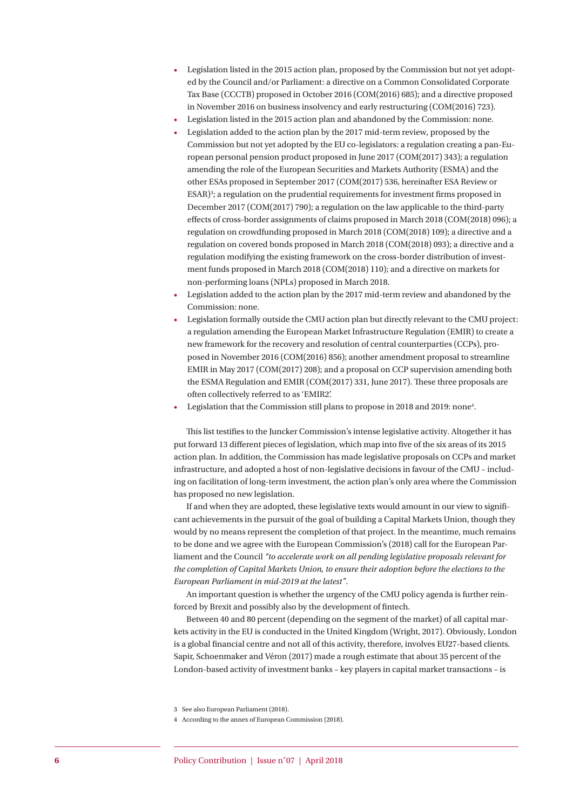- Legislation listed in the 2015 action plan, proposed by the Commission but not yet adopted by the Council and/or Parliament: a directive on a Common Consolidated Corporate Tax Base (CCCTB) proposed in October 2016 (COM(2016) 685); and a directive proposed in November 2016 on business insolvency and early restructuring (COM(2016) 723).
- Legislation listed in the 2015 action plan and abandoned by the Commission: none.
- Legislation added to the action plan by the 2017 mid-term review, proposed by the Commission but not yet adopted by the EU co-legislators: a regulation creating a pan-European personal pension product proposed in June 2017 (COM(2017) 343); a regulation amending the role of the European Securities and Markets Authority (ESMA) and the other ESAs proposed in September 2017 (COM(2017) 536, hereinafter ESA Review or ESAR)<sup>3</sup>; a regulation on the prudential requirements for investment firms proposed in December 2017 (COM(2017) 790); a regulation on the law applicable to the third-party effects of cross-border assignments of claims proposed in March 2018 (COM(2018) 096); a regulation on crowdfunding proposed in March 2018 (COM(2018) 109); a directive and a regulation on covered bonds proposed in March 2018 (COM(2018) 093); a directive and a regulation modifying the existing framework on the cross-border distribution of investment funds proposed in March 2018 (COM(2018) 110); and a directive on markets for non-performing loans (NPLs) proposed in March 2018.
- Legislation added to the action plan by the 2017 mid-term review and abandoned by the Commission: none.
- Legislation formally outside the CMU action plan but directly relevant to the CMU project: a regulation amending the European Market Infrastructure Regulation (EMIR) to create a new framework for the recovery and resolution of central counterparties (CCPs), proposed in November 2016 (COM(2016) 856); another amendment proposal to streamline EMIR in May 2017 (COM(2017) 208); and a proposal on CCP supervision amending both the ESMA Regulation and EMIR (COM(2017) 331, June 2017). These three proposals are often collectively referred to as 'EMIR2'.
- Legislation that the Commission still plans to propose in 2018 and 2019: none4 .

This list testifies to the Juncker Commission's intense legislative activity. Altogether it has put forward 13 different pieces of legislation, which map into five of the six areas of its 2015 action plan. In addition, the Commission has made legislative proposals on CCPs and market infrastructure, and adopted a host of non-legislative decisions in favour of the CMU – including on facilitation of long-term investment, the action plan's only area where the Commission has proposed no new legislation.

If and when they are adopted, these legislative texts would amount in our view to significant achievements in the pursuit of the goal of building a Capital Markets Union, though they would by no means represent the completion of that project. In the meantime, much remains to be done and we agree with the European Commission's (2018) call for the European Parliament and the Council *"to accelerate work on all pending legislative proposals relevant for the completion of Capital Markets Union, to ensure their adoption before the elections to the European Parliament in mid-2019 at the latest"*.

An important question is whether the urgency of the CMU policy agenda is further reinforced by Brexit and possibly also by the development of fintech.

Between 40 and 80 percent (depending on the segment of the market) of all capital markets activity in the EU is conducted in the United Kingdom (Wright, 2017). Obviously, London is a global financial centre and not all of this activity, therefore, involves EU27-based clients. Sapir, Schoenmaker and Véron (2017) made a rough estimate that about 35 percent of the London-based activity of investment banks – key players in capital market transactions – is

<sup>3</sup> See also European Parliament (2018).

<sup>4</sup> According to the annex of European Commission (2018).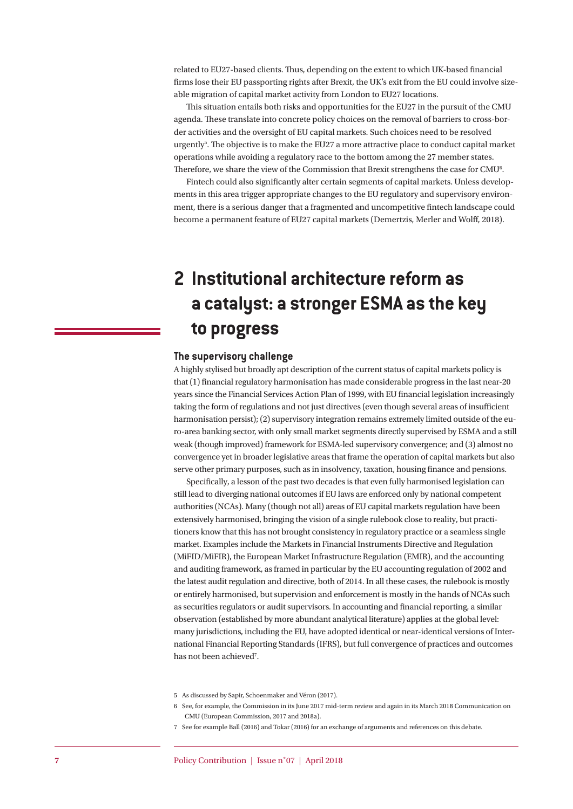related to EU27-based clients. Thus, depending on the extent to which UK-based financial firms lose their EU passporting rights after Brexit, the UK's exit from the EU could involve sizeable migration of capital market activity from London to EU27 locations.

This situation entails both risks and opportunities for the EU27 in the pursuit of the CMU agenda. These translate into concrete policy choices on the removal of barriers to cross-border activities and the oversight of EU capital markets. Such choices need to be resolved urgently<sup>5</sup>. The objective is to make the EU27 a more attractive place to conduct capital market operations while avoiding a regulatory race to the bottom among the 27 member states. Therefore, we share the view of the Commission that Brexit strengthens the case for CMU<sup>6</sup>.

Fintech could also significantly alter certain segments of capital markets. Unless developments in this area trigger appropriate changes to the EU regulatory and supervisory environment, there is a serious danger that a fragmented and uncompetitive fintech landscape could become a permanent feature of EU27 capital markets (Demertzis, Merler and Wolff, 2018).

# **2 Institutional architecture reform as a catalyst: a stronger ESMA as the key to progress**

#### **The supervisory challenge**

A highly stylised but broadly apt description of the current status of capital markets policy is that (1) financial regulatory harmonisation has made considerable progress in the last near-20 years since the Financial Services Action Plan of 1999, with EU financial legislation increasingly taking the form of regulations and not just directives (even though several areas of insufficient harmonisation persist); (2) supervisory integration remains extremely limited outside of the euro-area banking sector, with only small market segments directly supervised by ESMA and a still weak (though improved) framework for ESMA-led supervisory convergence; and (3) almost no convergence yet in broader legislative areas that frame the operation of capital markets but also serve other primary purposes, such as in insolvency, taxation, housing finance and pensions.

Specifically, a lesson of the past two decades is that even fully harmonised legislation can still lead to diverging national outcomes if EU laws are enforced only by national competent authorities (NCAs). Many (though not all) areas of EU capital markets regulation have been extensively harmonised, bringing the vision of a single rulebook close to reality, but practitioners know that this has not brought consistency in regulatory practice or a seamless single market. Examples include the Markets in Financial Instruments Directive and Regulation (MiFID/MiFIR), the European Market Infrastructure Regulation (EMIR), and the accounting and auditing framework, as framed in particular by the EU accounting regulation of 2002 and the latest audit regulation and directive, both of 2014. In all these cases, the rulebook is mostly or entirely harmonised, but supervision and enforcement is mostly in the hands of NCAs such as securities regulators or audit supervisors. In accounting and financial reporting, a similar observation (established by more abundant analytical literature) applies at the global level: many jurisdictions, including the EU, have adopted identical or near-identical versions of International Financial Reporting Standards (IFRS), but full convergence of practices and outcomes has not been achieved<sup>7</sup>.

<sup>5</sup> As discussed by Sapir, Schoenmaker and Véron (2017).

<sup>6</sup> See, for example, the Commission in its June 2017 mid-term review and again in its March 2018 Communication on CMU (European Commission, 2017 and 2018a).

<sup>7</sup> See for example Ball (2016) and Tokar (2016) for an exchange of arguments and references on this debate.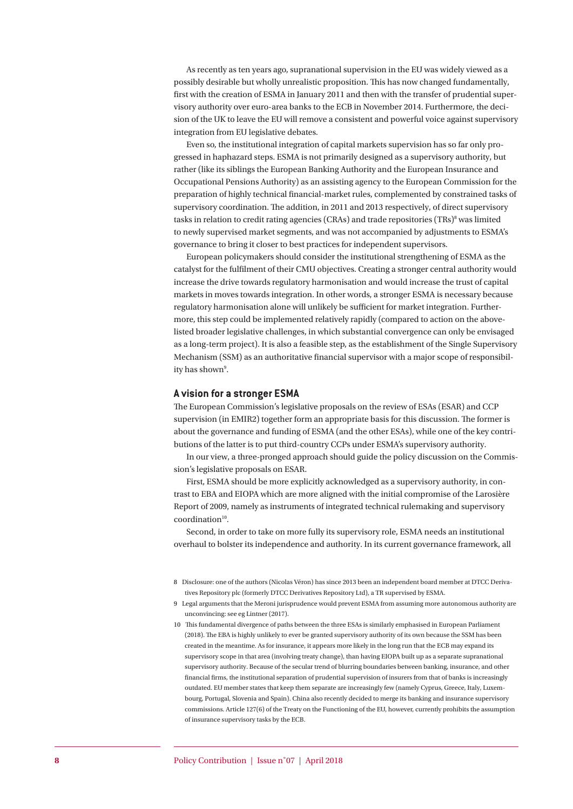As recently as ten years ago, supranational supervision in the EU was widely viewed as a possibly desirable but wholly unrealistic proposition. This has now changed fundamentally, first with the creation of ESMA in January 2011 and then with the transfer of prudential supervisory authority over euro-area banks to the ECB in November 2014. Furthermore, the decision of the UK to leave the EU will remove a consistent and powerful voice against supervisory integration from EU legislative debates.

Even so, the institutional integration of capital markets supervision has so far only progressed in haphazard steps. ESMA is not primarily designed as a supervisory authority, but rather (like its siblings the European Banking Authority and the European Insurance and Occupational Pensions Authority) as an assisting agency to the European Commission for the preparation of highly technical financial-market rules, complemented by constrained tasks of supervisory coordination. The addition, in 2011 and 2013 respectively, of direct supervisory tasks in relation to credit rating agencies (CRAs) and trade repositories (TRs)<sup>8</sup> was limited to newly supervised market segments, and was not accompanied by adjustments to ESMA's governance to bring it closer to best practices for independent supervisors.

European policymakers should consider the institutional strengthening of ESMA as the catalyst for the fulfilment of their CMU objectives. Creating a stronger central authority would increase the drive towards regulatory harmonisation and would increase the trust of capital markets in moves towards integration. In other words, a stronger ESMA is necessary because regulatory harmonisation alone will unlikely be sufficient for market integration. Furthermore, this step could be implemented relatively rapidly (compared to action on the abovelisted broader legislative challenges, in which substantial convergence can only be envisaged as a long-term project). It is also a feasible step, as the establishment of the Single Supervisory Mechanism (SSM) as an authoritative financial supervisor with a major scope of responsibility has shown<sup>9</sup>.

#### **A vision for a stronger ESMA**

The European Commission's legislative proposals on the review of ESAs (ESAR) and CCP supervision (in EMIR2) together form an appropriate basis for this discussion. The former is about the governance and funding of ESMA (and the other ESAs), while one of the key contributions of the latter is to put third-country CCPs under ESMA's supervisory authority.

In our view, a three-pronged approach should guide the policy discussion on the Commission's legislative proposals on ESAR.

First, ESMA should be more explicitly acknowledged as a supervisory authority, in contrast to EBA and EIOPA which are more aligned with the initial compromise of the Larosière Report of 2009, namely as instruments of integrated technical rulemaking and supervisory coordination<sup>10</sup>.

Second, in order to take on more fully its supervisory role, ESMA needs an institutional overhaul to bolster its independence and authority. In its current governance framework, all

- 8 Disclosure: one of the authors (Nicolas Véron) has since 2013 been an independent board member at DTCC Derivatives Repository plc (formerly DTCC Derivatives Repository Ltd), a TR supervised by ESMA.
- 9 Legal arguments that the Meroni jurisprudence would prevent ESMA from assuming more autonomous authority are unconvincing: see eg Lintner (2017).
- 10 This fundamental divergence of paths between the three ESAs is similarly emphasised in European Parliament (2018). The EBA is highly unlikely to ever be granted supervisory authority of its own because the SSM has been created in the meantime. As for insurance, it appears more likely in the long run that the ECB may expand its supervisory scope in that area (involving treaty change), than having EIOPA built up as a separate supranational supervisory authority. Because of the secular trend of blurring boundaries between banking, insurance, and other financial firms, the institutional separation of prudential supervision of insurers from that of banks is increasingly outdated. EU member states that keep them separate are increasingly few (namely Cyprus, Greece, Italy, Luxembourg, Portugal, Slovenia and Spain). China also recently decided to merge its banking and insurance supervisory commissions. Article 127(6) of the Treaty on the Functioning of the EU, however, currently prohibits the assumption of insurance supervisory tasks by the ECB.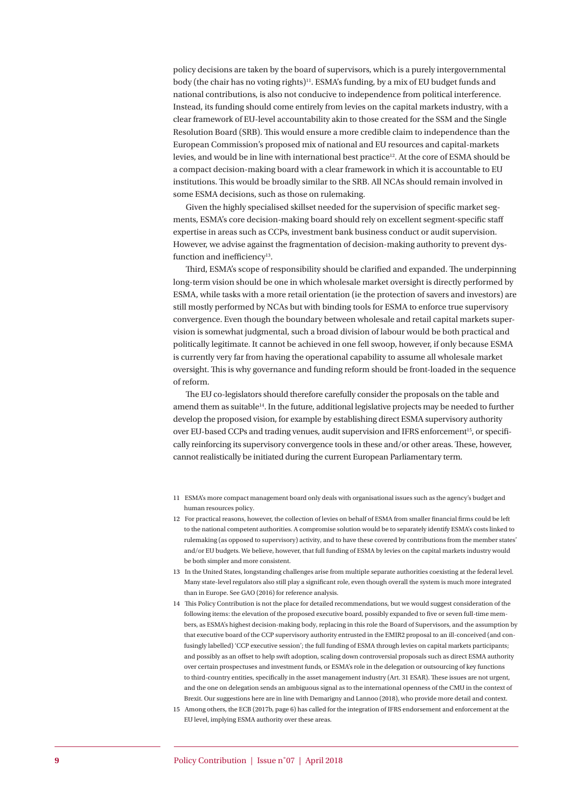policy decisions are taken by the board of supervisors, which is a purely intergovernmental body (the chair has no voting rights)<sup>11</sup>. ESMA's funding, by a mix of EU budget funds and national contributions, is also not conducive to independence from political interference. Instead, its funding should come entirely from levies on the capital markets industry, with a clear framework of EU-level accountability akin to those created for the SSM and the Single Resolution Board (SRB). This would ensure a more credible claim to independence than the European Commission's proposed mix of national and EU resources and capital-markets levies, and would be in line with international best practice<sup>12</sup>. At the core of ESMA should be a compact decision-making board with a clear framework in which it is accountable to EU institutions. This would be broadly similar to the SRB. All NCAs should remain involved in some ESMA decisions, such as those on rulemaking.

Given the highly specialised skillset needed for the supervision of specific market segments, ESMA's core decision-making board should rely on excellent segment-specific staff expertise in areas such as CCPs, investment bank business conduct or audit supervision. However, we advise against the fragmentation of decision-making authority to prevent dysfunction and inefficiency<sup>13</sup>.

Third, ESMA's scope of responsibility should be clarified and expanded. The underpinning long-term vision should be one in which wholesale market oversight is directly performed by ESMA, while tasks with a more retail orientation (ie the protection of savers and investors) are still mostly performed by NCAs but with binding tools for ESMA to enforce true supervisory convergence. Even though the boundary between wholesale and retail capital markets supervision is somewhat judgmental, such a broad division of labour would be both practical and politically legitimate. It cannot be achieved in one fell swoop, however, if only because ESMA is currently very far from having the operational capability to assume all wholesale market oversight. This is why governance and funding reform should be front-loaded in the sequence of reform.

The EU co-legislators should therefore carefully consider the proposals on the table and amend them as suitable<sup>14</sup>. In the future, additional legislative projects may be needed to further develop the proposed vision, for example by establishing direct ESMA supervisory authority over EU-based CCPs and trading venues, audit supervision and IFRS enforcement15, or specifically reinforcing its supervisory convergence tools in these and/or other areas. These, however, cannot realistically be initiated during the current European Parliamentary term.

- 11 ESMA's more compact management board only deals with organisational issues such as the agency's budget and human resources policy.
- 12 For practical reasons, however, the collection of levies on behalf of ESMA from smaller financial firms could be left to the national competent authorities. A compromise solution would be to separately identify ESMA's costs linked to rulemaking (as opposed to supervisory) activity, and to have these covered by contributions from the member states' and/or EU budgets. We believe, however, that full funding of ESMA by levies on the capital markets industry would be both simpler and more consistent.
- 13 In the United States, longstanding challenges arise from multiple separate authorities coexisting at the federal level. Many state-level regulators also still play a significant role, even though overall the system is much more integrated than in Europe. See GAO (2016) for reference analysis.
- 14 This Policy Contribution is not the place for detailed recommendations, but we would suggest consideration of the following items: the elevation of the proposed executive board, possibly expanded to five or seven full-time members, as ESMA's highest decision-making body, replacing in this role the Board of Supervisors, and the assumption by that executive board of the CCP supervisory authority entrusted in the EMIR2 proposal to an ill-conceived (and confusingly labelled) 'CCP executive session'; the full funding of ESMA through levies on capital markets participants; and possibly as an offset to help swift adoption, scaling down controversial proposals such as direct ESMA authority over certain prospectuses and investment funds, or ESMA's role in the delegation or outsourcing of key functions to third-country entities, specifically in the asset management industry (Art. 31 ESAR). These issues are not urgent, and the one on delegation sends an ambiguous signal as to the international openness of the CMU in the context of Brexit. Our suggestions here are in line with Demarigny and Lannoo (2018), who provide more detail and context.
- 15 Among others, the ECB (2017b, page 6) has called for the integration of IFRS endorsement and enforcement at the EU level, implying ESMA authority over these areas.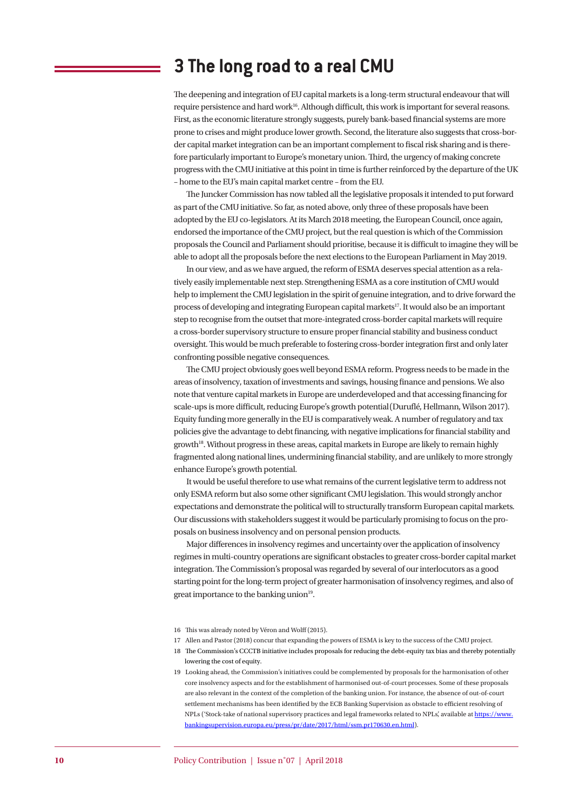## **3 The long road to a real CMU**

The deepening and integration of EU capital markets is a long-term structural endeavour that will require persistence and hard work<sup>16</sup>. Although difficult, this work is important for several reasons. First, as the economic literature strongly suggests, purely bank-based financial systems are more prone to crises and might produce lower growth. Second, the literature also suggests that cross-border capital market integration can be an important complement to fiscal risk sharing and is therefore particularly important to Europe's monetary union. Third, the urgency of making concrete progress with the CMU initiative at this point in time is further reinforced by the departure of the UK – home to the EU's main capital market centre – from the EU.

The Juncker Commission has now tabled all the legislative proposals it intended to put forward as part of the CMU initiative. So far, as noted above, only three of these proposals have been adopted by the EU co-legislators. At its March 2018 meeting, the European Council, once again, endorsed the importance of the CMU project, but the real question is which of the Commission proposals the Council and Parliament should prioritise, because it is difficult to imagine they will be able to adopt all the proposals before the next elections to the European Parliament in May 2019.

In our view, and as we have argued, the reform of ESMA deserves special attention as a relatively easily implementable next step. Strengthening ESMA as a core institution of CMU would help to implement the CMU legislation in the spirit of genuine integration, and to drive forward the process of developing and integrating European capital markets17. It would also be an important step to recognise from the outset that more-integrated cross-border capital markets will require a cross-border supervisory structure to ensure proper financial stability and business conduct oversight. This would be much preferable to fostering cross-border integration first and only later confronting possible negative consequences.

The CMU project obviously goes well beyond ESMA reform. Progress needs to be made in the areas of insolvency, taxation of investments and savings, housing finance and pensions. We also note that venture capital markets in Europe are underdeveloped and that accessing financing for scale-ups is more difficult, reducing Europe's growth potential(Duruflé, Hellmann, Wilson 2017). Equity funding more generally in the EU is comparatively weak. A number of regulatory and tax policies give the advantage to debt financing, with negative implications for financial stability and growth<sup>18</sup>. Without progress in these areas, capital markets in Europe are likely to remain highly fragmented along national lines, undermining financial stability, and are unlikely to more strongly enhance Europe's growth potential.

It would be useful therefore to use what remains of the current legislative term to address not only ESMA reform but also some other significant CMU legislation. This would strongly anchor expectations and demonstrate the political will to structurally transform European capital markets. Our discussions with stakeholders suggest it would be particularly promising to focus on the proposals on business insolvency and on personal pension products.

Major differences in insolvency regimes and uncertainty over the application of insolvency regimes in multi-country operations are significant obstacles to greater cross-border capital market integration. The Commission's proposal was regarded by several of our interlocutors as a good starting point for the long-term project of greater harmonisation of insolvency regimes, and also of great importance to the banking union<sup>19</sup>.

<sup>16</sup> This was already noted by Véron and Wolff (2015).

<sup>17</sup> Allen and Pastor (2018) concur that expanding the powers of ESMA is key to the success of the CMU project.

<sup>18</sup> The Commission's CCCTB initiative includes proposals for reducing the debt-equity tax bias and thereby potentially lowering the cost of equity.

<sup>19</sup> Looking ahead, the Commission's initiatives could be complemented by proposals for the harmonisation of other core insolvency aspects and for the establishment of harmonised out-of-court processes. Some of these proposals are also relevant in the context of the completion of the banking union. For instance, the absence of out-of-court settlement mechanisms has been identified by the ECB Banking Supervision as obstacle to efficient resolving of NPLs ('Stock-take of national supervisory practices and legal frameworks related to NPLs', available at https://www. bankingsupervision.europa.eu/press/pr/date/2017/html/ssm.pr170630.en.html).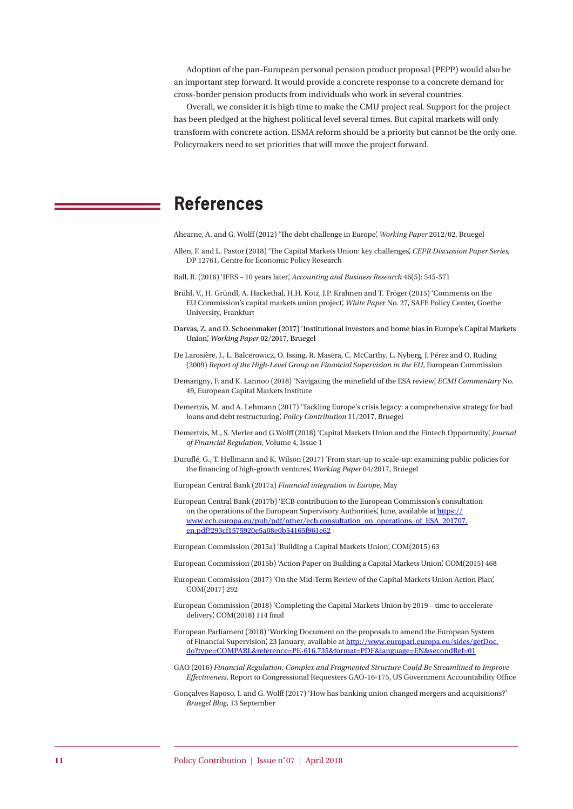Adoption of the pan-European personal pension product proposal (PEPP) would also be an important step forward. It would provide a concrete response to a concrete demand for cross-border pension products from individuals who work in several countries.

Overall, we consider it is high time to make the CMU project real. Support for the project has been pledged at the highest political level several times. But capital markets will only transform with concrete action. ESMA reform should be a priority but cannot be the only one. Policymakers need to set priorities that will move the project forward.

### **References**

Ahearne, A. and G. Wolff (2012) 'The debt challenge in Europe', *Working Paper* 2012/02, Bruegel

- Allen, F. and L. Pastor (2018) 'The Capital Markets Union: key challenges', *CEPR Discussion Paper Series*, DP 12761, Centre for Economic Policy Research
- Ball, R. (2016) 'IFRS 10 years later', *Accounting and Business Research* 46(5): 545-571
- Brühl, V., H. Gründl, A. Hackethal, H.H. Kotz, J.P. Krahnen and T. Tröger (2015) 'Comments on the EU Commission's capital markets union project', *White Pape*r No. 27, SAFE Policy Center, Goethe University, Frankfurt
- Darvas, Z. and D. Schoenmaker (2017) 'Institutional investors and home bias in Europe's Capital Markets Union', *Working Paper* 02/2017, Bruegel
- De Larosière, J., L. Balcerowicz, O. Issing, R. Masera, C. McCarthy, L. Nyberg, J. Pérez and O. Ruding (2009) *Report of the High-Level Group on Financial Supervision in the EU*, European Commission
- Demarigny, F. and K. Lannoo (2018) 'Navigating the minefield of the ESA review', *ECMI Commentary* No. 49, European Capital Markets Institute
- Demertzis, M. and A. Lehmann (2017) 'Tackling Europe's crisis legacy: a comprehensive strategy for bad loans and debt restructuring', *Policy Contribution* 11/2017, Bruegel
- Demertzis, M., S. Merler and G.Wolff (2018) 'Capital Markets Union and the Fintech Opportunity', *Journal of Financial Regulation*, Volume 4, Issue 1
- Duruflé, G., T. Hellmann and K. Wilson (2017) 'From start-up to scale-up: examining public policies for the financing of high-growth ventures', *Working Paper* 04/2017, Bruegel
- European Central Bank (2017a) *Financial integration in Europe*, May
- European Central Bank (2017b) 'ECB contribution to the European Commission's consultation on the operations of the European Supervisory Authorities', June, available at https:// www.ecb.europa.eu/pub/pdf/other/ecb.consultation\_on\_operations\_of\_ESA\_201707. en.pdf?293cf1575920e5a08e0b54165f961e62

European Commission (2015a) 'Building a Capital Markets Union', COM(2015) 63

European Commission (2015b) 'Action Paper on Building a Capital Markets Union', COM(2015) 468

- European Commission (2017) 'On the Mid-Term Review of the Capital Markets Union Action Plan', COM(2017) 292
- European Commission (2018) 'Completing the Capital Markets Union by 2019 time to accelerate delivery', COM(2018) 114 final
- European Parliament (2018) 'Working Document on the proposals to amend the European System of Financial Supervision', 23 January, available at http://www.europarl.europa.eu/sides/getDoc. do?type=COMPARL&reference=PE-616.735&format=PDF&language=EN&secondRef=01
- GAO (2016) *Financial Regulation: Complex and Fragmented Structure Could Be Streamlined to Improve Effectiveness*, Report to Congressional Requesters GAO-16-175, US Government Accountability Office
- Gonçalves Raposo, I. and G. Wolff (2017) 'How has banking union changed mergers and acquisitions?' *Bruegel Blog*, 13 September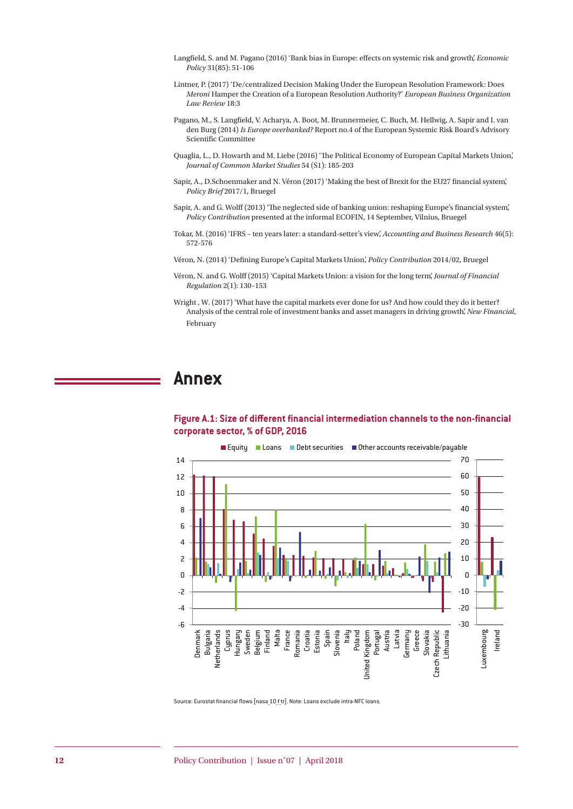- Langfield, S. and M. Pagano (2016) 'Bank bias in Europe: effects on systemic risk and growth', *Economic Policy* 31(85): 51-106
- Lintner, P. (2017) 'De/centralized Decision Making Under the European Resolution Framework: Does *Meroni* Hamper the Creation of a European Resolution Authority?' *European Business Organization Law Review* 18:3
- Pagano, M., S. Langfield, V. Acharya, A. Boot, M. Brunnermeier, C. Buch, M. Hellwig, A. Sapir and I. van den Burg (2014) *Is Europe overbanked?* Report no.4 of the European Systemic Risk Board's Advisory Scientific Committee
- Quaglia, L., D. Howarth and M. Liebe (2016) 'The Political Economy of European Capital Markets Union', *Journal of Common Market Studies* 54 (S1): 185-203
- Sapir, A., D.Schoenmaker and N. Véron (2017) 'Making the best of Brexit for the EU27 financial system', *Policy Brief* 2017/1, Bruegel
- Sapir, A. and G. Wolff (2013) 'The neglected side of banking union: reshaping Europe's financial system', *Policy Contribution* presented at the informal ECOFIN, 14 September, Vilnius, Bruegel
- Tokar, M. (2016) 'IFRS ten years later: a standard-setter's view', *Accounting and Business Research* 46(5): 572-576
- Véron, N. (2014) 'Defining Europe's Capital Markets Union', *Policy Contribution* 2014/02, Bruegel
- Véron, N. and G. Wolff (2015) 'Capital Markets Union: a vision for the long term', *Journal of Financial Regulation* 2(1): 130–153
- Wright , W. (2017) 'What have the capital markets ever done for us? And how could they do it better? Analysis of the central role of investment banks and asset managers in driving growth', *New Financial*, February

### **Annex**





Source: Eurostat financial flows [nasa 10 f tr]. Note: Loans exclude intra-NFC loans.